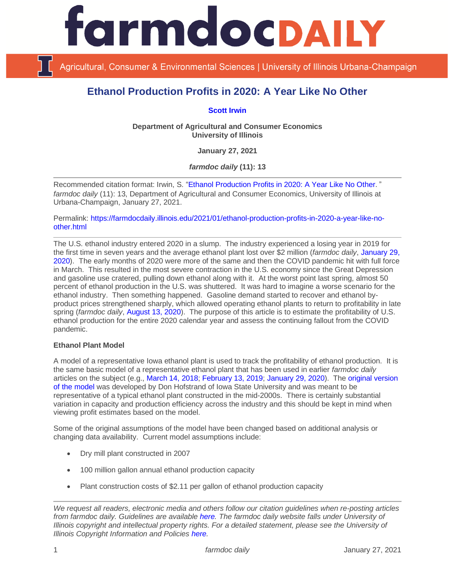

Agricultural, Consumer & Environmental Sciences | University of Illinois Urbana-Champaign

# **Ethanol Production Profits in 2020: A Year Like No Other**

## **[Scott Irwin](http://www.farmdoc.illinois.edu/irwin/)**

**Department of Agricultural and Consumer Economics University of Illinois**

**January 27, 2021**

*farmdoc daily* **(11): 13**

Recommended citation format: Irwin, S. ["Ethanol Production Profits in 2020: A Year Like No Other](https://farmdocdaily.illinois.edu/2021/01/ethanol-production-profits-in-2020-a-year-like-no-other.html)." *farmdoc daily* (11): 13, Department of Agricultural and Consumer Economics, University of Illinois at Urbana-Champaign, January 27, 2021.

Permalink: [https://farmdocdaily.illinois.edu/2021/01/ethanol-production-profits-in-2020-a-year-like-no](https://farmdocdaily.illinois.edu/2021/01/ethanol-production-profits-in-2020-a-year-like-no-other.html)[other.html](https://farmdocdaily.illinois.edu/2021/01/ethanol-production-profits-in-2020-a-year-like-no-other.html)

The U.S. ethanol industry entered 2020 in a slump. The industry experienced a losing year in 2019 for the first time in seven years and the average ethanol plant lost over \$2 million (*farmdoc daily*, [January 29,](https://farmdocdaily.illinois.edu/2020/01/2019-ethanol-production-profits-just-how-bad-was-it.html)  [2020\)](https://farmdocdaily.illinois.edu/2020/01/2019-ethanol-production-profits-just-how-bad-was-it.html). The early months of 2020 were more of the same and then the COVID pandemic hit with full force in March. This resulted in the most severe contraction in the U.S. economy since the Great Depression and gasoline use cratered, pulling down ethanol along with it. At the worst point last spring, almost 50 percent of ethanol production in the U.S. was shuttered. It was hard to imagine a worse scenario for the ethanol industry. Then something happened. Gasoline demand started to recover and ethanol byproduct prices strengthened sharply, which allowed operating ethanol plants to return to profitability in late spring (*farmdoc daily*, [August 13, 2020\)](https://farmdocdaily.illinois.edu/2020/08/ethanol-production-profits-during-the-covid-pandemic.html). The purpose of this article is to estimate the profitability of U.S. ethanol production for the entire 2020 calendar year and assess the continuing fallout from the COVID pandemic.

## **Ethanol Plant Model**

A model of a representative Iowa ethanol plant is used to track the profitability of ethanol production. It is the same basic model of a representative ethanol plant that has been used in earlier *farmdoc daily* articles on the subject (e.g., [March 14, 2018;](https://farmdocdaily.illinois.edu/2018/03/profitability-of-ethanol-production-in-2017.html) [February 13, 2019;](https://farmdocdaily.illinois.edu/2019/02/how-tough-of-a-year-was-2018-for-ethanol-production-profits.html) [January 29, 2020\)](https://farmdocdaily.illinois.edu/2020/01/2019-ethanol-production-profits-just-how-bad-was-it.html). The [original version](https://www.extension.iastate.edu/agdm/energy/html/d1-10.html)  [of the model](https://www.extension.iastate.edu/agdm/energy/html/d1-10.html) was developed by Don Hofstrand of Iowa State University and was meant to be representative of a typical ethanol plant constructed in the mid-2000s. There is certainly substantial variation in capacity and production efficiency across the industry and this should be kept in mind when viewing profit estimates based on the model.

Some of the original assumptions of the model have been changed based on additional analysis or changing data availability. Current model assumptions include:

- Dry mill plant constructed in 2007
- 100 million gallon annual ethanol production capacity
- Plant construction costs of \$2.11 per gallon of ethanol production capacity

*We request all readers, electronic media and others follow our citation guidelines when re-posting articles from farmdoc daily. Guidelines are available [here.](http://farmdocdaily.illinois.edu/citationguide.html) The farmdoc daily website falls under University of Illinois copyright and intellectual property rights. For a detailed statement, please see the University of Illinois Copyright Information and Policies [here.](http://www.cio.illinois.edu/policies/copyright/)*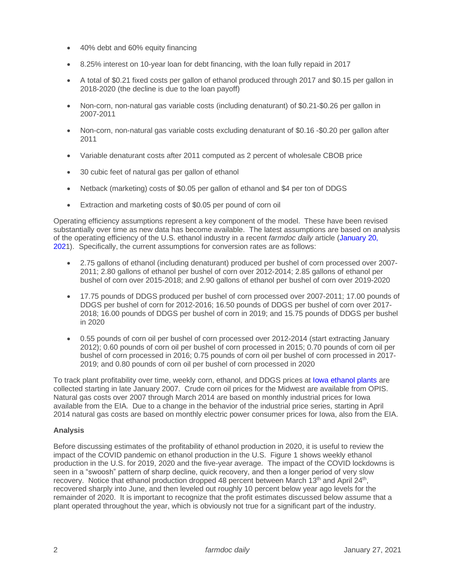- 40% debt and 60% equity financing
- 8.25% interest on 10-year loan for debt financing, with the loan fully repaid in 2017
- A total of \$0.21 fixed costs per gallon of ethanol produced through 2017 and \$0.15 per gallon in 2018-2020 (the decline is due to the loan payoff)
- Non-corn, non-natural gas variable costs (including denaturant) of \$0.21-\$0.26 per gallon in 2007-2011
- Non-corn, non-natural gas variable costs excluding denaturant of \$0.16 -\$0.20 per gallon after 2011
- Variable denaturant costs after 2011 computed as 2 percent of wholesale CBOB price
- 30 cubic feet of natural gas per gallon of ethanol
- Netback (marketing) costs of \$0.05 per gallon of ethanol and \$4 per ton of DDGS
- Extraction and marketing costs of \$0.05 per pound of corn oil

Operating efficiency assumptions represent a key component of the model. These have been revised substantially over time as new data has become available. The latest assumptions are based on analysis of the operating efficiency of the U.S. ethanol industry in a recent *farmdoc daily* article [\(January 20,](https://farmdocdaily.illinois.edu/2021/01/recent-trends-in-the-operational-efficiency-of-the-us-ethanol-industry.html)  [2021](https://farmdocdaily.illinois.edu/2021/01/recent-trends-in-the-operational-efficiency-of-the-us-ethanol-industry.html)). Specifically, the current assumptions for conversion rates are as follows:

- 2.75 gallons of ethanol (including denaturant) produced per bushel of corn processed over 2007- 2011; 2.80 gallons of ethanol per bushel of corn over 2012-2014; 2.85 gallons of ethanol per bushel of corn over 2015-2018; and 2.90 gallons of ethanol per bushel of corn over 2019-2020
- 17.75 pounds of DDGS produced per bushel of corn processed over 2007-2011; 17.00 pounds of DDGS per bushel of corn for 2012-2016; 16.50 pounds of DDGS per bushel of corn over 2017- 2018; 16.00 pounds of DDGS per bushel of corn in 2019; and 15.75 pounds of DDGS per bushel in 2020
- 0.55 pounds of corn oil per bushel of corn processed over 2012-2014 (start extracting January 2012); 0.60 pounds of corn oil per bushel of corn processed in 2015; 0.70 pounds of corn oil per bushel of corn processed in 2016; 0.75 pounds of corn oil per bushel of corn processed in 2017- 2019; and 0.80 pounds of corn oil per bushel of corn processed in 2020

To track plant profitability over time, weekly corn, ethanol, and DDGS prices at [Iowa ethanol plants](http://www.ams.usda.gov/mnreports/nw_gr212.txt) are collected starting in late January 2007. Crude corn oil prices for the Midwest are available from OPIS. Natural gas costs over 2007 through March 2014 are based on monthly industrial prices for Iowa available from the EIA. Due to a change in the behavior of the industrial price series, starting in April 2014 natural gas costs are based on monthly electric power consumer prices for Iowa, also from the EIA.

## **Analysis**

Before discussing estimates of the profitability of ethanol production in 2020, it is useful to review the impact of the COVID pandemic on ethanol production in the U.S. Figure 1 shows weekly ethanol production in the U.S. for 2019, 2020 and the five-year average. The impact of the COVID lockdowns is seen in a "swoosh" pattern of sharp decline, quick recovery, and then a longer period of very slow recovery. Notice that ethanol production dropped 48 percent between March 13<sup>th</sup> and April 24<sup>th</sup>, recovered sharply into June, and then leveled out roughly 10 percent below year ago levels for the remainder of 2020. It is important to recognize that the profit estimates discussed below assume that a plant operated throughout the year, which is obviously not true for a significant part of the industry.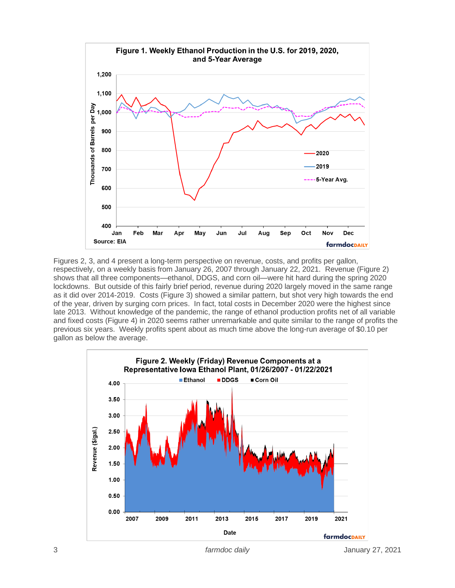

Figures 2, 3, and 4 present a long-term perspective on revenue, costs, and profits per gallon, respectively, on a weekly basis from January 26, 2007 through January 22, 2021. Revenue (Figure 2) shows that all three components—ethanol, DDGS, and corn oil—were hit hard during the spring 2020 lockdowns. But outside of this fairly brief period, revenue during 2020 largely moved in the same range as it did over 2014-2019. Costs (Figure 3) showed a similar pattern, but shot very high towards the end of the year, driven by surging corn prices. In fact, total costs in December 2020 were the highest since late 2013. Without knowledge of the pandemic, the range of ethanol production profits net of all variable and fixed costs (Figure 4) in 2020 seems rather unremarkable and quite similar to the range of profits the previous six years. Weekly profits spent about as much time above the long-run average of \$0.10 per gallon as below the average.



3 *farmdoc daily* January 27, 2021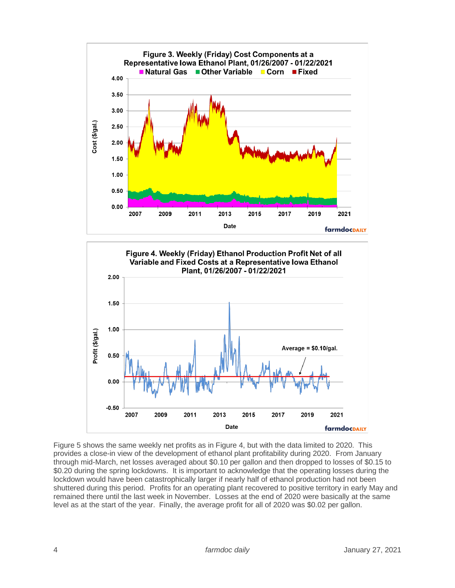



Figure 5 shows the same weekly net profits as in Figure 4, but with the data limited to 2020. This provides a close-in view of the development of ethanol plant profitability during 2020. From January through mid-March, net losses averaged about \$0.10 per gallon and then dropped to losses of \$0.15 to \$0.20 during the spring lockdowns. It is important to acknowledge that the operating losses during the lockdown would have been catastrophically larger if nearly half of ethanol production had not been shuttered during this period. Profits for an operating plant recovered to positive territory in early May and remained there until the last week in November. Losses at the end of 2020 were basically at the same level as at the start of the year. Finally, the average profit for all of 2020 was \$0.02 per gallon.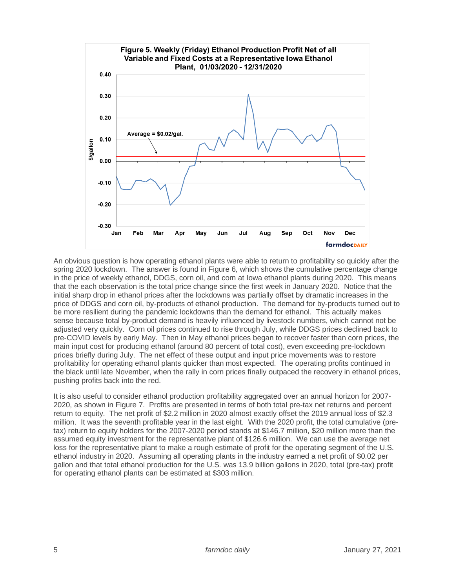

An obvious question is how operating ethanol plants were able to return to profitability so quickly after the spring 2020 lockdown. The answer is found in Figure 6, which shows the cumulative percentage change in the price of weekly ethanol, DDGS, corn oil, and corn at Iowa ethanol plants during 2020. This means that the each observation is the total price change since the first week in January 2020. Notice that the initial sharp drop in ethanol prices after the lockdowns was partially offset by dramatic increases in the price of DDGS and corn oil, by-products of ethanol production. The demand for by-products turned out to be more resilient during the pandemic lockdowns than the demand for ethanol. This actually makes sense because total by-product demand is heavily influenced by livestock numbers, which cannot not be adjusted very quickly. Corn oil prices continued to rise through July, while DDGS prices declined back to pre-COVID levels by early May. Then in May ethanol prices began to recover faster than corn prices, the main input cost for producing ethanol (around 80 percent of total cost), even exceeding pre-lockdown prices briefly during July. The net effect of these output and input price movements was to restore profitability for operating ethanol plants quicker than most expected. The operating profits continued in the black until late November, when the rally in corn prices finally outpaced the recovery in ethanol prices, pushing profits back into the red.

It is also useful to consider ethanol production profitability aggregated over an annual horizon for 2007- 2020, as shown in Figure 7. Profits are presented in terms of both total pre-tax net returns and percent return to equity. The net profit of \$2.2 million in 2020 almost exactly offset the 2019 annual loss of \$2.3 million. It was the seventh profitable year in the last eight. With the 2020 profit, the total cumulative (pretax) return to equity holders for the 2007-2020 period stands at \$146.7 million, \$20 million more than the assumed equity investment for the representative plant of \$126.6 million. We can use the average net loss for the representative plant to make a rough estimate of profit for the operating segment of the U.S. ethanol industry in 2020. Assuming all operating plants in the industry earned a net profit of \$0.02 per gallon and that total ethanol production for the U.S. was 13.9 billion gallons in 2020, total (pre-tax) profit for operating ethanol plants can be estimated at \$303 million.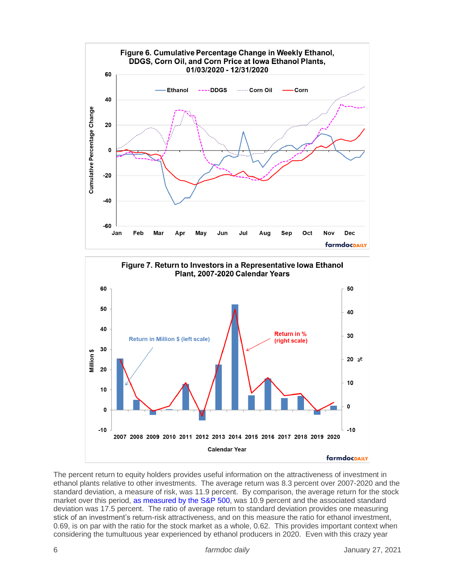



The percent return to equity holders provides useful information on the attractiveness of investment in ethanol plants relative to other investments. The average return was 8.3 percent over 2007-2020 and the standard deviation, a measure of risk, was 11.9 percent. By comparison, the average return for the stock market over this period, [as measured by the S&P 500,](http://pages.stern.nyu.edu/~adamodar/New_Home_Page/datafile/histretSP.html) was 10.9 percent and the associated standard deviation was 17.5 percent. The ratio of average return to standard deviation provides one measuring stick of an investment's return-risk attractiveness, and on this measure the ratio for ethanol investment, 0.69, is on par with the ratio for the stock market as a whole, 0.62. This provides important context when considering the tumultuous year experienced by ethanol producers in 2020. Even with this crazy year